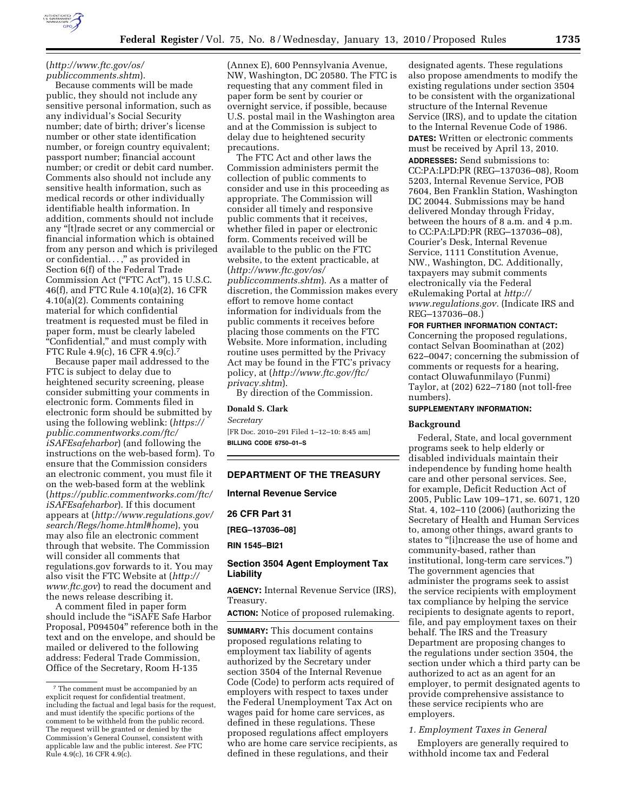

# (*http://www.ftc.gov/os/ publiccomments.shtm*).

Because comments will be made public, they should not include any sensitive personal information, such as any individual's Social Security number; date of birth; driver's license number or other state identification number, or foreign country equivalent; passport number; financial account number; or credit or debit card number. Comments also should not include any sensitive health information, such as medical records or other individually identifiable health information. In addition, comments should not include any ''[t]rade secret or any commercial or financial information which is obtained from any person and which is privileged or confidential...,'' as provided in Section 6(f) of the Federal Trade Commission Act (''FTC Act''), 15 U.S.C. 46(f), and FTC Rule 4.10(a)(2), 16 CFR 4.10(a)(2). Comments containing material for which confidential treatment is requested must be filed in paper form, must be clearly labeled ''Confidential,'' and must comply with FTC Rule 4.9(c), 16 CFR 4.9(c).7

Because paper mail addressed to the FTC is subject to delay due to heightened security screening, please consider submitting your comments in electronic form. Comments filed in electronic form should be submitted by using the following weblink: (*https:// public.commentworks.com/ftc/ iSAFEsafeharbor*) (and following the instructions on the web-based form). To ensure that the Commission considers an electronic comment, you must file it on the web-based form at the weblink (*https://public.commentworks.com/ftc/ iSAFEsafeharbor*). If this document appears at (*http://www.regulations.gov/ search/Regs/home.html#home*), you may also file an electronic comment through that website. The Commission will consider all comments that regulations.gov forwards to it. You may also visit the FTC Website at (*http:// www.ftc.gov*) to read the document and the news release describing it.

A comment filed in paper form should include the ''iSAFE Safe Harbor Proposal, P094504'' reference both in the text and on the envelope, and should be mailed or delivered to the following address: Federal Trade Commission, Office of the Secretary, Room H-135

(Annex E), 600 Pennsylvania Avenue, NW, Washington, DC 20580. The FTC is requesting that any comment filed in paper form be sent by courier or overnight service, if possible, because U.S. postal mail in the Washington area and at the Commission is subject to delay due to heightened security precautions.

The FTC Act and other laws the Commission administers permit the collection of public comments to consider and use in this proceeding as appropriate. The Commission will consider all timely and responsive public comments that it receives, whether filed in paper or electronic form. Comments received will be available to the public on the FTC website, to the extent practicable, at (*http://www.ftc.gov/os/ publiccomments.shtm*). As a matter of discretion, the Commission makes every effort to remove home contact information for individuals from the public comments it receives before placing those comments on the FTC Website. More information, including routine uses permitted by the Privacy Act may be found in the FTC's privacy policy, at (*http://www.ftc.gov/ftc/ privacy.shtm*).

By direction of the Commission.

#### **Donald S. Clark**

*Secretary* 

[FR Doc. 2010–291 Filed 1–12–10: 8:45 am] **BILLING CODE 6750–01–S** 

#### **DEPARTMENT OF THE TREASURY**

**Internal Revenue Service** 

**26 CFR Part 31** 

**[REG–137036–08]** 

**RIN 1545–BI21** 

# **Section 3504 Agent Employment Tax Liability**

**AGENCY:** Internal Revenue Service (IRS), Treasury.

**ACTION:** Notice of proposed rulemaking.

**SUMMARY:** This document contains proposed regulations relating to employment tax liability of agents authorized by the Secretary under section 3504 of the Internal Revenue Code (Code) to perform acts required of employers with respect to taxes under the Federal Unemployment Tax Act on wages paid for home care services, as defined in these regulations. These proposed regulations affect employers who are home care service recipients, as defined in these regulations, and their

designated agents. These regulations also propose amendments to modify the existing regulations under section 3504 to be consistent with the organizational structure of the Internal Revenue Service (IRS), and to update the citation to the Internal Revenue Code of 1986. **DATES:** Written or electronic comments must be received by April 13, 2010. **ADDRESSES:** Send submissions to: CC:PA:LPD:PR (REG–137036–08), Room 5203, Internal Revenue Service, POB 7604, Ben Franklin Station, Washington DC 20044. Submissions may be hand delivered Monday through Friday, between the hours of 8 a.m. and 4 p.m. to CC:PA:LPD:PR (REG–137036–08), Courier's Desk, Internal Revenue Service, 1111 Constitution Avenue, NW., Washington, DC. Additionally, taxpayers may submit comments electronically via the Federal eRulemaking Portal at *http:// www.regulations.gov.* (Indicate IRS and REG–137036–08.)

# **FOR FURTHER INFORMATION CONTACT:**

Concerning the proposed regulations, contact Selvan Boominathan at (202) 622–0047; concerning the submission of comments or requests for a hearing, contact Oluwafunmilayo (Funmi) Taylor, at (202) 622–7180 (not toll-free numbers).

# **SUPPLEMENTARY INFORMATION:**

#### **Background**

Federal, State, and local government programs seek to help elderly or disabled individuals maintain their independence by funding home health care and other personal services. See, for example, Deficit Reduction Act of 2005, Public Law 109–171, se. 6071, 120 Stat. 4, 102–110 (2006) (authorizing the Secretary of Health and Human Services to, among other things, award grants to states to "[i]ncrease the use of home and community-based, rather than institutional, long-term care services.'') The government agencies that administer the programs seek to assist the service recipients with employment tax compliance by helping the service recipients to designate agents to report, file, and pay employment taxes on their behalf. The IRS and the Treasury Department are proposing changes to the regulations under section 3504, the section under which a third party can be authorized to act as an agent for an employer, to permit designated agents to provide comprehensive assistance to these service recipients who are employers.

#### *1. Employment Taxes in General*

Employers are generally required to withhold income tax and Federal

<sup>7</sup> The comment must be accompanied by an explicit request for confidential treatment, including the factual and legal basis for the request, and must identify the specific portions of the comment to be withheld from the public record. The request will be granted or denied by the Commission's General Counsel, consistent with applicable law and the public interest. *See* FTC Rule 4.9(c), 16 CFR 4.9(c).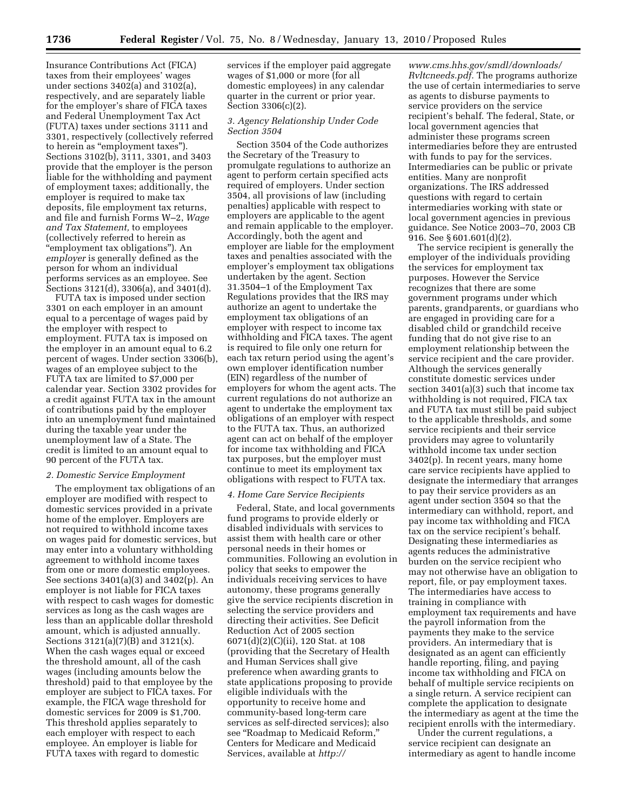Insurance Contributions Act (FICA) taxes from their employees' wages under sections 3402(a) and 3102(a), respectively, and are separately liable for the employer's share of FICA taxes and Federal Unemployment Tax Act (FUTA) taxes under sections 3111 and 3301, respectively (collectively referred to herein as "employment taxes"). Sections 3102(b), 3111, 3301, and 3403 provide that the employer is the person liable for the withholding and payment of employment taxes; additionally, the employer is required to make tax deposits, file employment tax returns, and file and furnish Forms W–2, *Wage and Tax Statement,* to employees (collectively referred to herein as ''employment tax obligations''). An *employer* is generally defined as the person for whom an individual performs services as an employee. See Sections 3121(d), 3306(a), and 3401(d).

FUTA tax is imposed under section 3301 on each employer in an amount equal to a percentage of wages paid by the employer with respect to employment. FUTA tax is imposed on the employer in an amount equal to 6.2 percent of wages. Under section 3306(b), wages of an employee subject to the FUTA tax are limited to \$7,000 per calendar year. Section 3302 provides for a credit against FUTA tax in the amount of contributions paid by the employer into an unemployment fund maintained during the taxable year under the unemployment law of a State. The credit is limited to an amount equal to 90 percent of the FUTA tax.

#### *2. Domestic Service Employment*

The employment tax obligations of an employer are modified with respect to domestic services provided in a private home of the employer. Employers are not required to withhold income taxes on wages paid for domestic services, but may enter into a voluntary withholding agreement to withhold income taxes from one or more domestic employees. See sections 3401(a)(3) and 3402(p). An employer is not liable for FICA taxes with respect to cash wages for domestic services as long as the cash wages are less than an applicable dollar threshold amount, which is adjusted annually. Sections 3121(a)(7)(B) and 3121(x). When the cash wages equal or exceed the threshold amount, all of the cash wages (including amounts below the threshold) paid to that employee by the employer are subject to FICA taxes. For example, the FICA wage threshold for domestic services for 2009 is \$1,700. This threshold applies separately to each employer with respect to each employee. An employer is liable for FUTA taxes with regard to domestic

services if the employer paid aggregate wages of \$1,000 or more (for all domestic employees) in any calendar quarter in the current or prior year. Section 3306(c)(2).

## *3. Agency Relationship Under Code Section 3504*

Section 3504 of the Code authorizes the Secretary of the Treasury to promulgate regulations to authorize an agent to perform certain specified acts required of employers. Under section 3504, all provisions of law (including penalties) applicable with respect to employers are applicable to the agent and remain applicable to the employer. Accordingly, both the agent and employer are liable for the employment taxes and penalties associated with the employer's employment tax obligations undertaken by the agent. Section 31.3504–1 of the Employment Tax Regulations provides that the IRS may authorize an agent to undertake the employment tax obligations of an employer with respect to income tax withholding and FICA taxes. The agent is required to file only one return for each tax return period using the agent's own employer identification number (EIN) regardless of the number of employers for whom the agent acts. The current regulations do not authorize an agent to undertake the employment tax obligations of an employer with respect to the FUTA tax. Thus, an authorized agent can act on behalf of the employer for income tax withholding and FICA tax purposes, but the employer must continue to meet its employment tax obligations with respect to FUTA tax.

#### *4. Home Care Service Recipients*

Federal, State, and local governments fund programs to provide elderly or disabled individuals with services to assist them with health care or other personal needs in their homes or communities. Following an evolution in policy that seeks to empower the individuals receiving services to have autonomy, these programs generally give the service recipients discretion in selecting the service providers and directing their activities. See Deficit Reduction Act of 2005 section 6071(d)(2)(C)(ii), 120 Stat. at 108 (providing that the Secretary of Health and Human Services shall give preference when awarding grants to state applications proposing to provide eligible individuals with the opportunity to receive home and community-based long-term care services as self-directed services); also see ''Roadmap to Medicaid Reform,'' Centers for Medicare and Medicaid Services, available at *http://* 

*www.cms.hhs.gov/smdl/downloads/ Rvltcneeds.pdf.* The programs authorize the use of certain intermediaries to serve as agents to disburse payments to service providers on the service recipient's behalf. The federal, State, or local government agencies that administer these programs screen intermediaries before they are entrusted with funds to pay for the services. Intermediaries can be public or private entities. Many are nonprofit organizations. The IRS addressed questions with regard to certain intermediaries working with state or local government agencies in previous guidance. See Notice 2003–70, 2003 CB 916. See § 601.601(d)(2).

The service recipient is generally the employer of the individuals providing the services for employment tax purposes. However the Service recognizes that there are some government programs under which parents, grandparents, or guardians who are engaged in providing care for a disabled child or grandchild receive funding that do not give rise to an employment relationship between the service recipient and the care provider. Although the services generally constitute domestic services under section 3401(a)(3) such that income tax withholding is not required, FICA tax and FUTA tax must still be paid subject to the applicable thresholds, and some service recipients and their service providers may agree to voluntarily withhold income tax under section 3402(p). In recent years, many home care service recipients have applied to designate the intermediary that arranges to pay their service providers as an agent under section 3504 so that the intermediary can withhold, report, and pay income tax withholding and FICA tax on the service recipient's behalf. Designating these intermediaries as agents reduces the administrative burden on the service recipient who may not otherwise have an obligation to report, file, or pay employment taxes. The intermediaries have access to training in compliance with employment tax requirements and have the payroll information from the payments they make to the service providers. An intermediary that is designated as an agent can efficiently handle reporting, filing, and paying income tax withholding and FICA on behalf of multiple service recipients on a single return. A service recipient can complete the application to designate the intermediary as agent at the time the recipient enrolls with the intermediary.

Under the current regulations, a service recipient can designate an intermediary as agent to handle income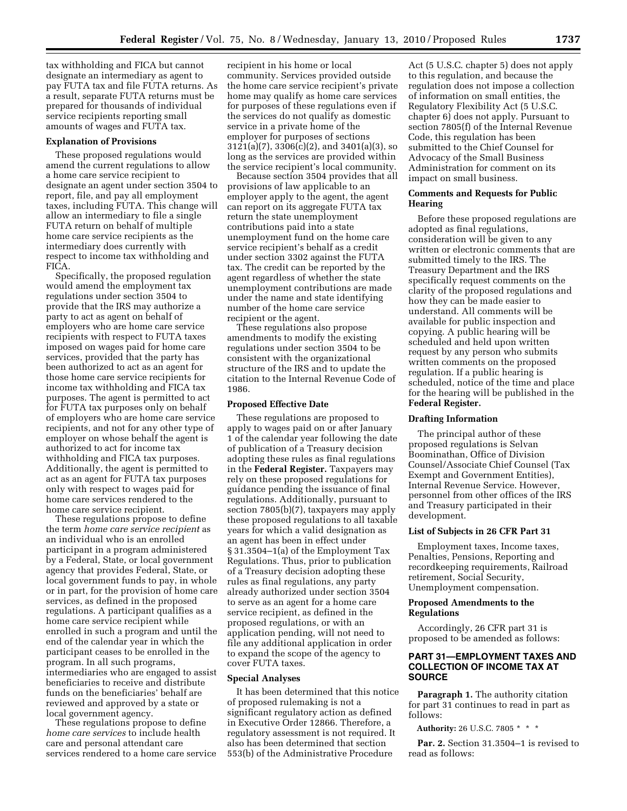tax withholding and FICA but cannot designate an intermediary as agent to pay FUTA tax and file FUTA returns. As a result, separate FUTA returns must be prepared for thousands of individual service recipients reporting small amounts of wages and FUTA tax.

#### **Explanation of Provisions**

These proposed regulations would amend the current regulations to allow a home care service recipient to designate an agent under section 3504 to report, file, and pay all employment taxes, including FUTA. This change will allow an intermediary to file a single FUTA return on behalf of multiple home care service recipients as the intermediary does currently with respect to income tax withholding and FICA.

Specifically, the proposed regulation would amend the employment tax regulations under section 3504 to provide that the IRS may authorize a party to act as agent on behalf of employers who are home care service recipients with respect to FUTA taxes imposed on wages paid for home care services, provided that the party has been authorized to act as an agent for those home care service recipients for income tax withholding and FICA tax purposes. The agent is permitted to act for FUTA tax purposes only on behalf of employers who are home care service recipients, and not for any other type of employer on whose behalf the agent is authorized to act for income tax withholding and FICA tax purposes. Additionally, the agent is permitted to act as an agent for FUTA tax purposes only with respect to wages paid for home care services rendered to the home care service recipient.

These regulations propose to define the term *home care service recipient* as an individual who is an enrolled participant in a program administered by a Federal, State, or local government agency that provides Federal, State, or local government funds to pay, in whole or in part, for the provision of home care services, as defined in the proposed regulations. A participant qualifies as a home care service recipient while enrolled in such a program and until the end of the calendar year in which the participant ceases to be enrolled in the program. In all such programs, intermediaries who are engaged to assist beneficiaries to receive and distribute funds on the beneficiaries' behalf are reviewed and approved by a state or local government agency.

These regulations propose to define *home care services* to include health care and personal attendant care services rendered to a home care service recipient in his home or local community. Services provided outside the home care service recipient's private home may qualify as home care services for purposes of these regulations even if the services do not qualify as domestic service in a private home of the employer for purposes of sections 3121(a)(7), 3306(c)(2), and 3401(a)(3), so long as the services are provided within the service recipient's local community.

Because section 3504 provides that all provisions of law applicable to an employer apply to the agent, the agent can report on its aggregate FUTA tax return the state unemployment contributions paid into a state unemployment fund on the home care service recipient's behalf as a credit under section 3302 against the FUTA tax. The credit can be reported by the agent regardless of whether the state unemployment contributions are made under the name and state identifying number of the home care service recipient or the agent.

These regulations also propose amendments to modify the existing regulations under section 3504 to be consistent with the organizational structure of the IRS and to update the citation to the Internal Revenue Code of 1986.

## **Proposed Effective Date**

These regulations are proposed to apply to wages paid on or after January 1 of the calendar year following the date of publication of a Treasury decision adopting these rules as final regulations in the **Federal Register.** Taxpayers may rely on these proposed regulations for guidance pending the issuance of final regulations. Additionally, pursuant to section 7805(b)(7), taxpayers may apply these proposed regulations to all taxable years for which a valid designation as an agent has been in effect under § 31.3504–1(a) of the Employment Tax Regulations. Thus, prior to publication of a Treasury decision adopting these rules as final regulations, any party already authorized under section 3504 to serve as an agent for a home care service recipient, as defined in the proposed regulations, or with an application pending, will not need to file any additional application in order to expand the scope of the agency to cover FUTA taxes.

## **Special Analyses**

It has been determined that this notice of proposed rulemaking is not a significant regulatory action as defined in Executive Order 12866. Therefore, a regulatory assessment is not required. It also has been determined that section 553(b) of the Administrative Procedure

Act (5 U.S.C. chapter 5) does not apply to this regulation, and because the regulation does not impose a collection of information on small entities, the Regulatory Flexibility Act (5 U.S.C. chapter 6) does not apply. Pursuant to section 7805(f) of the Internal Revenue Code, this regulation has been submitted to the Chief Counsel for Advocacy of the Small Business Administration for comment on its impact on small business.

## **Comments and Requests for Public Hearing**

Before these proposed regulations are adopted as final regulations, consideration will be given to any written or electronic comments that are submitted timely to the IRS. The Treasury Department and the IRS specifically request comments on the clarity of the proposed regulations and how they can be made easier to understand. All comments will be available for public inspection and copying. A public hearing will be scheduled and held upon written request by any person who submits written comments on the proposed regulation. If a public hearing is scheduled, notice of the time and place for the hearing will be published in the **Federal Register.** 

## **Drafting Information**

The principal author of these proposed regulations is Selvan Boominathan, Office of Division Counsel/Associate Chief Counsel (Tax Exempt and Government Entities), Internal Revenue Service. However, personnel from other offices of the IRS and Treasury participated in their development.

#### **List of Subjects in 26 CFR Part 31**

Employment taxes, Income taxes, Penalties, Pensions, Reporting and recordkeeping requirements, Railroad retirement, Social Security, Unemployment compensation.

## **Proposed Amendments to the Regulations**

Accordingly, 26 CFR part 31 is proposed to be amended as follows:

# **PART 31—EMPLOYMENT TAXES AND COLLECTION OF INCOME TAX AT SOURCE**

**Paragraph 1.** The authority citation for part 31 continues to read in part as follows:

**Authority:** 26 U.S.C. 7805 \* \* \*

Par. 2. Section 31.3504-1 is revised to read as follows: